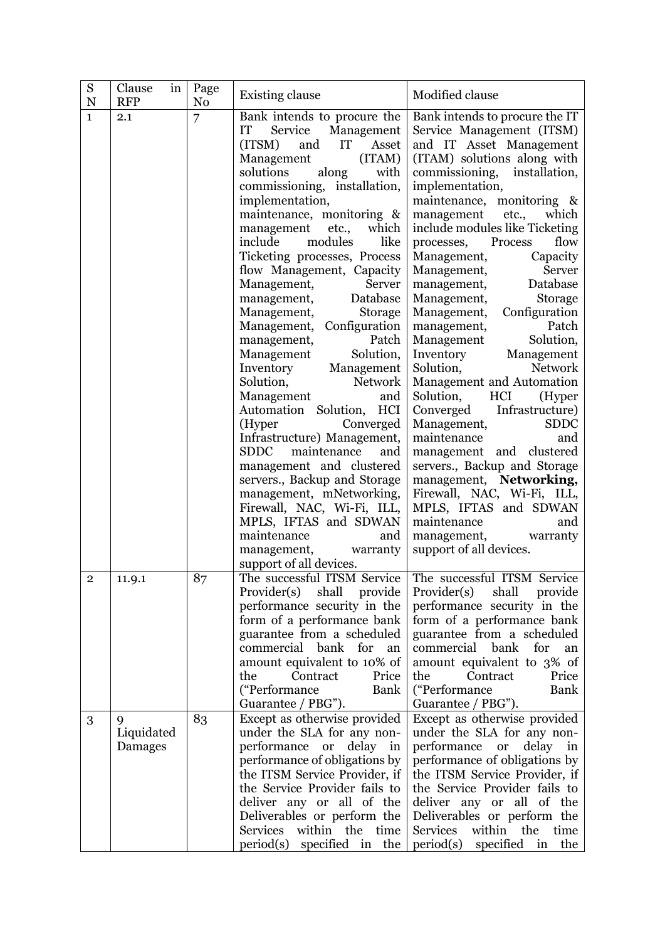| S<br>${\bf N}$ | Clause<br>in<br><b>RFP</b> | Page<br>N <sub>o</sub> | <b>Existing clause</b>                                                                                                                                                                                                                                                                                                                                                                                                                                                                                                                                                                                                                                                                                                                                                                                                                                                                                                                      | Modified clause                                                                                                                                                                                                                                                                                                                                                                                                                                                                                                                                                                                                                                                                                                                                                                                                                                                                                                             |
|----------------|----------------------------|------------------------|---------------------------------------------------------------------------------------------------------------------------------------------------------------------------------------------------------------------------------------------------------------------------------------------------------------------------------------------------------------------------------------------------------------------------------------------------------------------------------------------------------------------------------------------------------------------------------------------------------------------------------------------------------------------------------------------------------------------------------------------------------------------------------------------------------------------------------------------------------------------------------------------------------------------------------------------|-----------------------------------------------------------------------------------------------------------------------------------------------------------------------------------------------------------------------------------------------------------------------------------------------------------------------------------------------------------------------------------------------------------------------------------------------------------------------------------------------------------------------------------------------------------------------------------------------------------------------------------------------------------------------------------------------------------------------------------------------------------------------------------------------------------------------------------------------------------------------------------------------------------------------------|
| $\mathbf{1}$   | 2.1                        | 7                      | Bank intends to procure the<br>Service Management<br>IT<br>(ITSM)<br>and<br>IT<br>Asset<br>(ITAM)<br>Management<br>solutions<br>along<br>with<br>commissioning, installation,<br>implementation,<br>maintenance, monitoring &<br>which<br>management<br>etc.,<br>modules<br>like<br>include<br>Ticketing processes, Process<br>flow Management, Capacity<br>Management,<br>Server<br>management,<br>Database<br>Management,<br>Storage<br>Management, Configuration<br>Patch<br>management,<br>Solution,<br>Management<br>Inventory Management<br>Network<br>Solution,<br>Management<br>and<br>Automation Solution, HCI<br>Converged<br>(Hyper)<br>Infrastructure) Management,<br><b>SDDC</b><br>maintenance<br>and<br>management and clustered<br>servers., Backup and Storage<br>management, mNetworking,<br>Firewall, NAC, Wi-Fi, ILL,<br>MPLS, IFTAS and SDWAN<br>maintenance<br>and<br>management, warranty<br>support of all devices. | Bank intends to procure the IT<br>Service Management (ITSM)<br>and IT Asset Management<br>(ITAM) solutions along with<br>commissioning, installation,<br>implementation,<br>maintenance, monitoring &<br>management etc.,<br>which<br>include modules like Ticketing<br>flow<br>Process<br>processes,<br>Capacity<br>Management,<br>Management,<br>Server<br>management, Database<br>Management,<br>Storage<br>Configuration<br>Management,<br>Patch<br>management,<br>Solution,<br>Management<br>Inventory Management<br>Solution,<br><b>Network</b><br>Management and Automation<br>Solution,<br>HCI<br>(Hyper<br>Converged<br>Infrastructure)<br><b>SDDC</b><br>Management,<br>maintenance<br>and<br>management and clustered<br>servers., Backup and Storage<br>management, Networking,<br>Firewall, NAC, Wi-Fi, ILL,<br>MPLS, IFTAS and SDWAN<br>maintenance<br>and<br>management, warranty<br>support of all devices. |
| $\mathbf{2}$   | 11.9.1                     | 87                     | Provider(s) shall provide<br>performance security in the<br>form of a performance bank<br>guarantee from a scheduled<br>commercial bank for an<br>amount equivalent to 10% of<br>the<br>Contract<br>Price<br>("Performance<br>Bank<br>Guarantee / PBG").                                                                                                                                                                                                                                                                                                                                                                                                                                                                                                                                                                                                                                                                                    | The successful ITSM Service The successful ITSM Service<br>Provider(s)<br>shall provide<br>performance security in the<br>form of a performance bank<br>guarantee from a scheduled<br>commercial bank<br>for<br>an<br>amount equivalent to 3% of<br>the<br>Contract<br>Price<br>("Performance<br>Bank<br>Guarantee / PBG").                                                                                                                                                                                                                                                                                                                                                                                                                                                                                                                                                                                                 |
| 3              | 9<br>Liquidated<br>Damages | 83                     | Except as otherwise provided<br>under the SLA for any non-<br>delay in<br>performance or<br>performance of obligations by<br>the ITSM Service Provider, if<br>the Service Provider fails to<br>deliver any or all of the<br>Deliverables or perform the<br>within the time<br>Services<br>period(s) specified in the                                                                                                                                                                                                                                                                                                                                                                                                                                                                                                                                                                                                                        | Except as otherwise provided<br>under the SLA for any non-<br>performance<br>delay<br><b>or</b><br>in<br>performance of obligations by<br>the ITSM Service Provider, if<br>the Service Provider fails to<br>deliver any or all of the<br>Deliverables or perform the<br>within the<br>Services<br>time<br>period(s)<br>specified<br>$\mathbf{in}$<br>the                                                                                                                                                                                                                                                                                                                                                                                                                                                                                                                                                                    |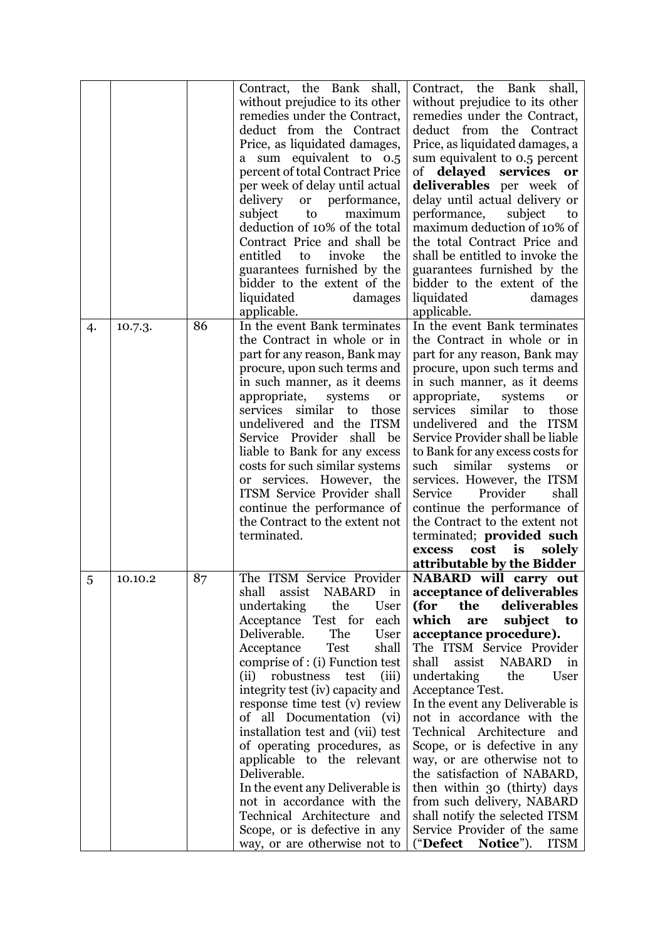|    |         |    | Contract, the Bank shall,<br>without prejudice to its other<br>remedies under the Contract,<br>deduct from the Contract<br>Price, as liquidated damages,<br>a sum equivalent to 0.5<br>percent of total Contract Price<br>per week of delay until actual<br>delivery<br>or performance,<br>maximum                                                                                                                                                                                                                                                                                                                                                | Contract, the Bank<br>shall,<br>without prejudice to its other<br>remedies under the Contract,<br>deduct from the Contract<br>Price, as liquidated damages, a<br>sum equivalent to 0.5 percent<br>of delayed services<br>or<br>deliverables per week of<br>delay until actual delivery or                                                                                                                                                                                                                                                                                                                                                        |
|----|---------|----|---------------------------------------------------------------------------------------------------------------------------------------------------------------------------------------------------------------------------------------------------------------------------------------------------------------------------------------------------------------------------------------------------------------------------------------------------------------------------------------------------------------------------------------------------------------------------------------------------------------------------------------------------|--------------------------------------------------------------------------------------------------------------------------------------------------------------------------------------------------------------------------------------------------------------------------------------------------------------------------------------------------------------------------------------------------------------------------------------------------------------------------------------------------------------------------------------------------------------------------------------------------------------------------------------------------|
|    |         |    | subject<br>to<br>deduction of 10% of the total<br>Contract Price and shall be<br>entitled<br>invoke<br>the<br>to<br>guarantees furnished by the<br>bidder to the extent of the<br>liquidated<br>damages<br>applicable.                                                                                                                                                                                                                                                                                                                                                                                                                            | performance,<br>subject<br>to<br>maximum deduction of 10% of<br>the total Contract Price and<br>shall be entitled to invoke the<br>guarantees furnished by the<br>bidder to the extent of the<br>liquidated<br>damages<br>applicable.                                                                                                                                                                                                                                                                                                                                                                                                            |
| 4. | 10.7.3. | 86 | In the event Bank terminates<br>the Contract in whole or in<br>part for any reason, Bank may<br>procure, upon such terms and<br>in such manner, as it deems<br>appropriate,<br>systems<br>or<br>services<br>similar<br>to those<br>undelivered and the ITSM<br>Service Provider shall<br>be<br>liable to Bank for any excess<br>costs for such similar systems<br>or services. However, the<br><b>ITSM Service Provider shall</b><br>continue the performance of<br>the Contract to the extent not<br>terminated.                                                                                                                                 | In the event Bank terminates<br>the Contract in whole or in<br>part for any reason, Bank may<br>procure, upon such terms and<br>in such manner, as it deems<br>appropriate,<br>systems<br><b>or</b><br>services<br>similar<br>to<br>those<br>undelivered and the ITSM<br>Service Provider shall be liable<br>to Bank for any excess costs for<br>such<br>similar<br>systems<br>or<br>services. However, the ITSM<br>Provider<br>Service<br>shall<br>continue the performance of<br>the Contract to the extent not<br>terminated; provided such<br>is<br>solely<br>cost<br>excess<br>attributable by the Bidder                                   |
| 5  | 10.10.2 | 87 | The ITSM Service Provider<br>shall<br>assist<br>NABARD in<br>undertaking<br>the<br>User<br>Acceptance Test for<br>each<br>The<br>Deliverable.<br>User<br>Test<br>shall<br>Acceptance<br>comprise of : (i) Function test<br>(iii)<br>(ii)<br>robustness<br>test<br>integrity test (iv) capacity and<br>response time test (v) review<br>of all Documentation (vi)<br>installation test and (vii) test<br>of operating procedures, as<br>applicable to the relevant<br>Deliverable.<br>In the event any Deliverable is<br>not in accordance with the<br>Technical Architecture and<br>Scope, or is defective in any<br>way, or are otherwise not to | NABARD will carry out<br>acceptance of deliverables<br>deliverables<br>(for<br>the<br>which<br>subject<br>are<br>to<br>acceptance procedure).<br>The ITSM Service Provider<br>assist<br><b>NABARD</b><br>shall<br>in<br>undertaking<br>the<br>User<br>Acceptance Test.<br>In the event any Deliverable is<br>not in accordance with the<br>Technical Architecture<br>and<br>Scope, or is defective in any<br>way, or are otherwise not to<br>the satisfaction of NABARD,<br>then within 30 (thirty) days<br>from such delivery, NABARD<br>shall notify the selected ITSM<br>Service Provider of the same<br>("Defect<br>Notice").<br><b>ITSM</b> |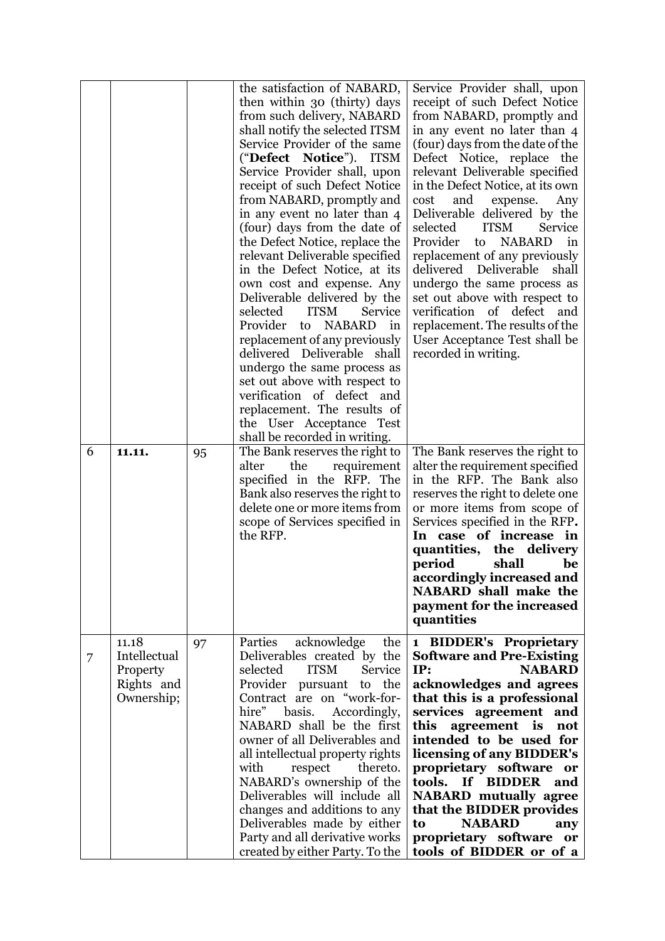| 6 | 11.11.                                                        | 95 | the satisfaction of NABARD,<br>then within 30 (thirty) days<br>from such delivery, NABARD<br>shall notify the selected ITSM<br>Service Provider of the same<br>("Defect Notice"). ITSM<br>Service Provider shall, upon<br>receipt of such Defect Notice<br>from NABARD, promptly and<br>in any event no later than 4<br>(four) days from the date of<br>the Defect Notice, replace the<br>relevant Deliverable specified<br>in the Defect Notice, at its<br>own cost and expense. Any<br>Deliverable delivered by the<br>selected<br><b>ITSM</b><br>Service<br>Provider<br>to NABARD<br>in<br>replacement of any previously<br>delivered Deliverable shall<br>undergo the same process as<br>set out above with respect to<br>verification of defect and<br>replacement. The results of<br>the User Acceptance Test<br>shall be recorded in writing.<br>The Bank reserves the right to | Service Provider shall, upon<br>receipt of such Defect Notice<br>from NABARD, promptly and<br>in any event no later than 4<br>(four) days from the date of the<br>Defect Notice, replace the<br>relevant Deliverable specified<br>in the Defect Notice, at its own<br>and<br>cost<br>expense.<br>Any<br>Deliverable delivered by the<br>selected<br><b>ITSM</b><br>Service<br>Provider<br><b>NABARD</b><br>to<br>in<br>replacement of any previously<br>delivered<br>Deliverable<br>shall<br>undergo the same process as<br>set out above with respect to<br>verification of defect<br>and<br>replacement. The results of the<br>User Acceptance Test shall be<br>recorded in writing.<br>The Bank reserves the right to |
|---|---------------------------------------------------------------|----|----------------------------------------------------------------------------------------------------------------------------------------------------------------------------------------------------------------------------------------------------------------------------------------------------------------------------------------------------------------------------------------------------------------------------------------------------------------------------------------------------------------------------------------------------------------------------------------------------------------------------------------------------------------------------------------------------------------------------------------------------------------------------------------------------------------------------------------------------------------------------------------|--------------------------------------------------------------------------------------------------------------------------------------------------------------------------------------------------------------------------------------------------------------------------------------------------------------------------------------------------------------------------------------------------------------------------------------------------------------------------------------------------------------------------------------------------------------------------------------------------------------------------------------------------------------------------------------------------------------------------|
|   |                                                               |    | alter<br>the<br>requirement<br>specified in the RFP. The<br>Bank also reserves the right to<br>delete one or more items from<br>scope of Services specified in<br>the RFP.                                                                                                                                                                                                                                                                                                                                                                                                                                                                                                                                                                                                                                                                                                             | alter the requirement specified<br>in the RFP. The Bank also<br>reserves the right to delete one<br>or more items from scope of<br>Services specified in the RFP.<br>In case of increase in<br>quantities, the delivery<br>shall<br>period<br>be<br>accordingly increased and<br>NABARD shall make the<br>payment for the increased<br>quantities                                                                                                                                                                                                                                                                                                                                                                        |
| 7 | 11.18<br>Intellectual<br>Property<br>Rights and<br>Ownership; | 97 | Parties<br>the<br>acknowledge<br>Deliverables created by the<br>selected<br><b>ITSM</b><br>Service<br>Provider pursuant to the<br>Contract are on "work-for-<br>hire"<br>basis.<br>Accordingly,<br>NABARD shall be the first<br>owner of all Deliverables and<br>all intellectual property rights<br>with<br>respect<br>thereto.<br>NABARD's ownership of the<br>Deliverables will include all<br>changes and additions to any<br>Deliverables made by either<br>Party and all derivative works<br>created by either Party. To the                                                                                                                                                                                                                                                                                                                                                     | 1 BIDDER's Proprietary<br><b>Software and Pre-Existing</b><br>IP:<br><b>NABARD</b><br>acknowledges and agrees<br>that this is a professional<br>services agreement and<br>this<br>agreement is<br>not<br>intended to be used for<br>licensing of any BIDDER's<br>proprietary software or<br>tools. If BIDDER<br>and<br><b>NABARD</b> mutually agree<br>that the BIDDER provides<br><b>NABARD</b><br>to<br>any<br>proprietary software or<br>tools of BIDDER or of a                                                                                                                                                                                                                                                      |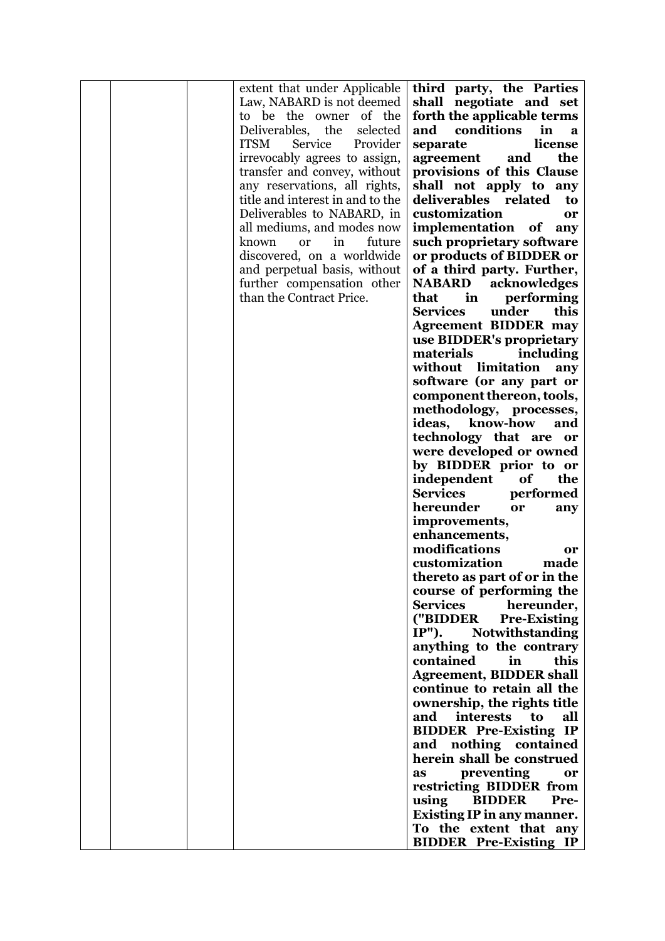|  | extent that under Applicable           | third party, the Parties           |
|--|----------------------------------------|------------------------------------|
|  | Law, NABARD is not deemed              | shall negotiate and set            |
|  | to be the owner<br>of the              | forth the applicable terms         |
|  | Deliverables,<br>the<br>selected       | conditions<br>and<br>in<br>a       |
|  | Provider<br><b>ITSM</b><br>Service     | license<br>separate                |
|  | irrevocably agrees to assign,          | the<br>agreement<br>and            |
|  | transfer and convey, without           | provisions of this Clause          |
|  |                                        |                                    |
|  | any reservations, all rights,          | shall not apply to any             |
|  | title and interest in and to the       | deliverables related<br>to         |
|  | Deliverables to NABARD, in             | customization<br>or                |
|  | all mediums, and modes now             | implementation of any              |
|  | known<br>in<br>future<br><sub>or</sub> | such proprietary software          |
|  | discovered, on a worldwide             | or products of BIDDER or           |
|  | and perpetual basis, without           | of a third party. Further,         |
|  | further compensation other             | acknowledges<br><b>NABARD</b>      |
|  | than the Contract Price.               | that<br>performing<br>in           |
|  |                                        | <b>Services</b><br>under<br>this   |
|  |                                        | <b>Agreement BIDDER may</b>        |
|  |                                        | use BIDDER's proprietary           |
|  |                                        | materials<br>including             |
|  |                                        | without limitation<br>any          |
|  |                                        | software (or any part or           |
|  |                                        | component thereon, tools,          |
|  |                                        |                                    |
|  |                                        | methodology, processes,            |
|  |                                        | ideas,<br>know-how<br>and          |
|  |                                        | technology that are or             |
|  |                                        | were developed or owned            |
|  |                                        | by BIDDER prior to or              |
|  |                                        | independent<br>of<br>the           |
|  |                                        | <b>Services</b><br>performed       |
|  |                                        | hereunder<br>or<br>any             |
|  |                                        | improvements,                      |
|  |                                        | enhancements,                      |
|  |                                        | modifications<br>or                |
|  |                                        | customization<br>made              |
|  |                                        | thereto as part of or in the       |
|  |                                        | course of performing the           |
|  |                                        | <b>Services</b><br>hereunder,      |
|  |                                        | ("BIDDER<br><b>Pre-Existing</b>    |
|  |                                        | $IP")$ .<br><b>Notwithstanding</b> |
|  |                                        | anything to the contrary           |
|  |                                        | contained<br>this<br>in            |
|  |                                        | <b>Agreement, BIDDER shall</b>     |
|  |                                        | continue to retain all the         |
|  |                                        |                                    |
|  |                                        | ownership, the rights title        |
|  |                                        | and interests<br>all<br>to         |
|  |                                        | <b>BIDDER Pre-Existing IP</b>      |
|  |                                        | and nothing contained              |
|  |                                        | herein shall be construed          |
|  |                                        | preventing<br>as<br>or             |
|  |                                        | restricting BIDDER from            |
|  |                                        | using<br><b>BIDDER</b><br>Pre-     |
|  |                                        | <b>Existing IP in any manner.</b>  |
|  |                                        | To the extent that any             |
|  |                                        | <b>BIDDER Pre-Existing IP</b>      |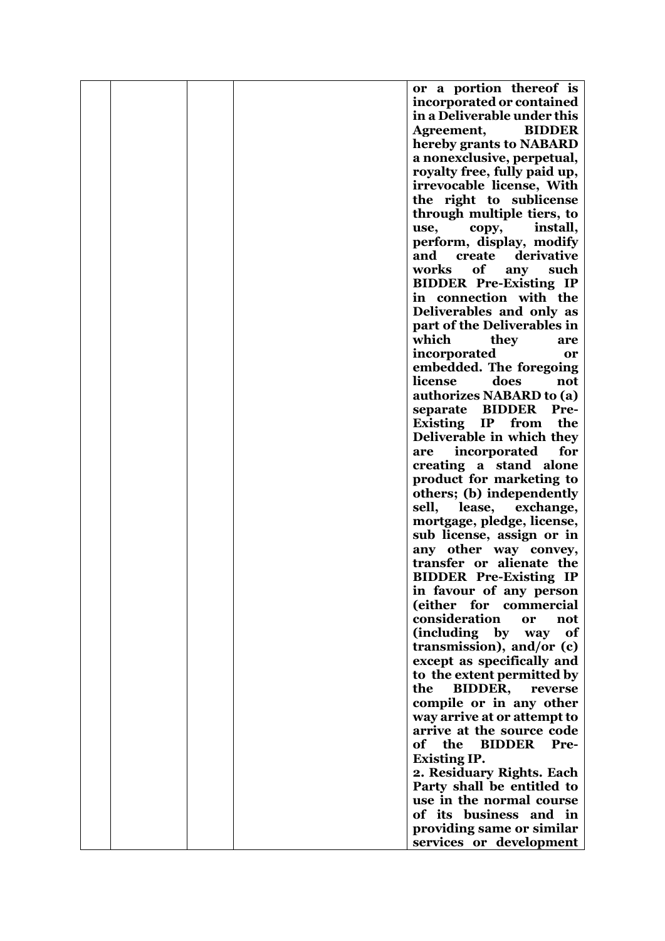|  |  | or a portion thereof is            |
|--|--|------------------------------------|
|  |  | incorporated or contained          |
|  |  | in a Deliverable under this        |
|  |  |                                    |
|  |  | <b>BIDDER</b><br>Agreement,        |
|  |  | hereby grants to NABARD            |
|  |  | a nonexclusive, perpetual,         |
|  |  | royalty free, fully paid up,       |
|  |  | irrevocable license, With          |
|  |  | the right to sublicense            |
|  |  | through multiple tiers, to         |
|  |  | install,<br>use,<br>copy,          |
|  |  | perform, display, modify           |
|  |  | derivative<br>and<br>create        |
|  |  |                                    |
|  |  | works<br>of<br>such<br>any         |
|  |  | <b>BIDDER Pre-Existing IP</b>      |
|  |  | in connection with the             |
|  |  | Deliverables and only as           |
|  |  | part of the Deliverables in        |
|  |  | which<br>they<br>are               |
|  |  | incorporated<br>or                 |
|  |  | embedded. The foregoing            |
|  |  | does<br>license<br>not             |
|  |  | authorizes NABARD to (a)           |
|  |  | separate BIDDER<br>Pre-            |
|  |  |                                    |
|  |  | Existing IP<br>the<br>from         |
|  |  | Deliverable in which they          |
|  |  | incorporated<br>for<br>are         |
|  |  | creating a stand alone             |
|  |  | product for marketing to           |
|  |  | others; (b) independently          |
|  |  | sell,<br>lease,<br>exchange,       |
|  |  | mortgage, pledge, license,         |
|  |  | sub license, assign or in          |
|  |  | any other way convey,              |
|  |  | transfer or alienate the           |
|  |  | <b>BIDDER Pre-Existing IP</b>      |
|  |  | in favour of any person            |
|  |  | (either for commercial             |
|  |  | consideration<br>not<br>or         |
|  |  | (including by<br>way<br>of         |
|  |  | transmission), and/or (c)          |
|  |  |                                    |
|  |  | except as specifically and         |
|  |  | to the extent permitted by         |
|  |  | <b>BIDDER,</b><br>the<br>reverse   |
|  |  | compile or in any other            |
|  |  | way arrive at or attempt to        |
|  |  | arrive at the source code          |
|  |  | the<br><b>BIDDER</b><br>of<br>Pre- |
|  |  | <b>Existing IP.</b>                |
|  |  | 2. Residuary Rights. Each          |
|  |  | Party shall be entitled to         |
|  |  | use in the normal course           |
|  |  | of its business and in             |
|  |  | providing same or similar          |
|  |  | services or development            |
|  |  |                                    |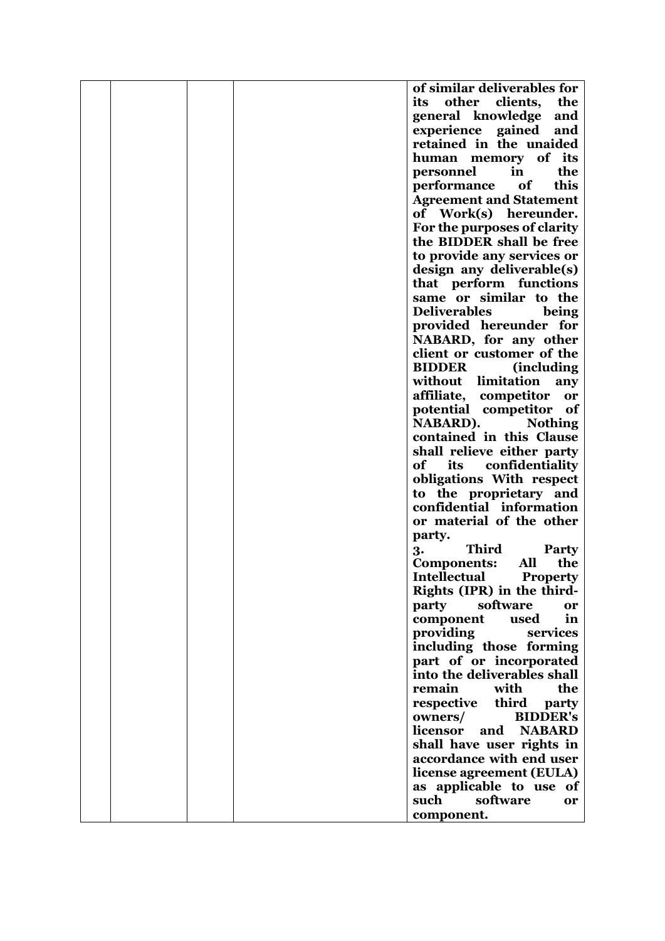|  |  | of similar deliverables for                            |
|--|--|--------------------------------------------------------|
|  |  | other<br>clients,<br>its<br>the                        |
|  |  | general knowledge<br>and                               |
|  |  | experience gained                                      |
|  |  | and<br>retained in the unaided                         |
|  |  |                                                        |
|  |  | human memory of its                                    |
|  |  | the<br>personnel<br>in                                 |
|  |  | this<br>performance<br>of                              |
|  |  | <b>Agreement and Statement</b>                         |
|  |  | of Work(s) hereunder.                                  |
|  |  | For the purposes of clarity                            |
|  |  | the BIDDER shall be free                               |
|  |  | to provide any services or                             |
|  |  | design any deliverable(s)                              |
|  |  | that perform functions                                 |
|  |  | same or similar to the                                 |
|  |  | <b>Deliverables</b><br>being                           |
|  |  | provided hereunder for                                 |
|  |  | NABARD, for any other                                  |
|  |  | client or customer of the                              |
|  |  | <b>BIDDER</b><br><i>(including)</i>                    |
|  |  | without limitation<br>any                              |
|  |  | affiliate, competitor<br>or                            |
|  |  | potential competitor<br>- of                           |
|  |  | <b>NABARD).</b><br><b>Nothing</b>                      |
|  |  | contained in this Clause                               |
|  |  | shall relieve either party                             |
|  |  | of<br>confidentiality<br>its                           |
|  |  | obligations With respect                               |
|  |  | to the proprietary and                                 |
|  |  | confidential information                               |
|  |  | or material of the other                               |
|  |  | party.                                                 |
|  |  | <b>Third</b><br><b>Party</b>                           |
|  |  | 3.<br>All<br>the<br><b>Components:</b>                 |
|  |  | <b>Intellectual</b><br><b>Property</b>                 |
|  |  | Rights (IPR) in the third-                             |
|  |  | software                                               |
|  |  | party<br>or<br>component<br>used<br>in                 |
|  |  | providing                                              |
|  |  | services                                               |
|  |  | including those forming                                |
|  |  | part of or incorporated<br>into the deliverables shall |
|  |  |                                                        |
|  |  | the<br>remain<br>with                                  |
|  |  | third<br>respective<br>party                           |
|  |  | owners/<br><b>BIDDER's</b>                             |
|  |  | <b>NABARD</b><br>licensor<br>and                       |
|  |  | shall have user rights in                              |
|  |  | accordance with end user                               |
|  |  | license agreement (EULA)                               |
|  |  | as applicable to use of                                |
|  |  | software<br>such<br>or                                 |
|  |  | component.                                             |